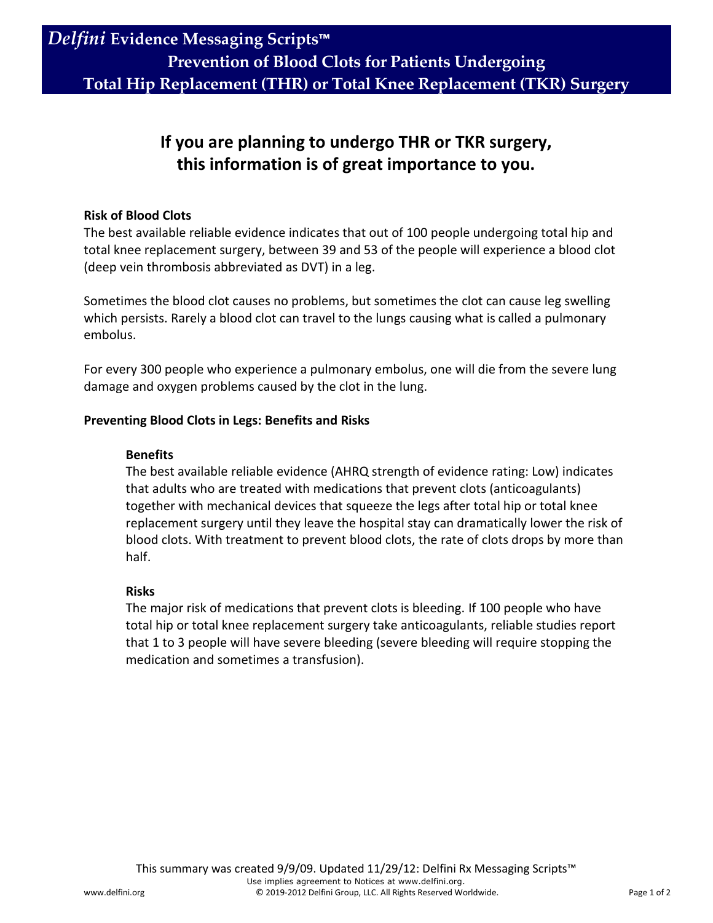**Total Hip Replacement (THR) or Total Knee Replacement (TKR) Surgery**

## **If you are planning to undergo THR or TKR surgery, this information is of great importance to you.**

### **Risk of Blood Clots**

The best available reliable evidence indicates that out of 100 people undergoing total hip and total knee replacement surgery, between 39 and 53 of the people will experience a blood clot (deep vein thrombosis abbreviated as DVT) in a leg.

Sometimes the blood clot causes no problems, but sometimes the clot can cause leg swelling which persists. Rarely a blood clot can travel to the lungs causing what is called a pulmonary embolus.

For every 300 people who experience a pulmonary embolus, one will die from the severe lung damage and oxygen problems caused by the clot in the lung.

### **Preventing Blood Clots in Legs: Benefits and Risks**

### **Benefits**

The best available reliable evidence (AHRQ strength of evidence rating: Low) indicates that adults who are treated with medications that prevent clots (anticoagulants) together with mechanical devices that squeeze the legs after total hip or total knee replacement surgery until they leave the hospital stay can dramatically lower the risk of blood clots. With treatment to prevent blood clots, the rate of clots drops by more than half.

### **Risks**

The major risk of medications that prevent clots is bleeding. If 100 people who have total hip or total knee replacement surgery take anticoagulants, reliable studies report that 1 to 3 people will have severe bleeding (severe bleeding will require stopping the medication and sometimes a transfusion).